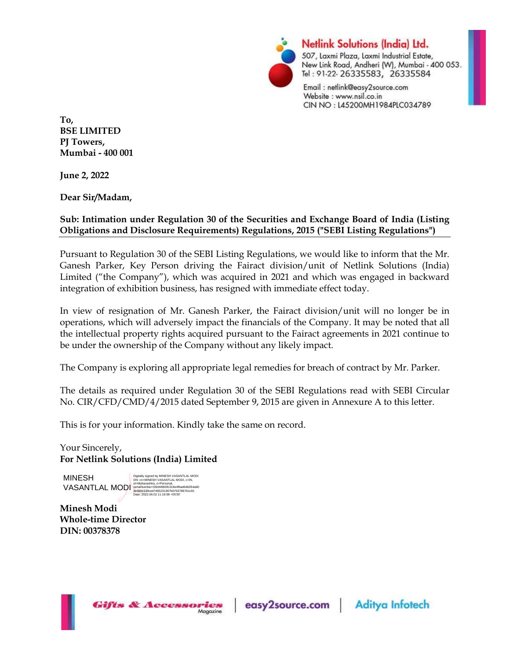

**Netlink Solutions (India) Ltd.** 507, Laxmi Plaza, Laxmi Industrial Estate, New Link Road, Andheri (W), Mumbai - 400 053. Tel: 91-22-26335583, 26335584

Email: netlink@easy2source.com Website: www.nsil.co.in CIN NO: L45200MH1984PLC034789

To, BSE LIMITED PJ Towers, Mumbai - 400 001

June 2, 2022

Dear Sir/Madam,

## Sub: Intimation under Regulation 30 of the Securities and Exchange Board of India (Listing Obligations and Disclosure Requirements) Regulations, 2015 ("SEBI Listing Regulations")

Pursuant to Regulation 30 of the SEBI Listing Regulations, we would like to inform that the Mr. Ganesh Parker, Key Person driving the Fairact division/unit of Netlink Solutions (India) Limited ("the Company"), which was acquired in 2021 and which was engaged in backward integration of exhibition business, has resigned with immediate effect today.

In view of resignation of Mr. Ganesh Parker, the Fairact division/unit will no longer be in operations, which will adversely impact the financials of the Company. It may be noted that all the intellectual property rights acquired pursuant to the Fairact agreements in 2021 continue to be under the ownership of the Company without any likely impact.

The Company is exploring all appropriate legal remedies for breach of contract by Mr. Parker.

The details as required under Regulation 30 of the SEBI Regulations read with SEBI Circular No. CIR/CFD/CMD/4/2015 dated September 9, 2015 are given in Annexure A to this letter.

This is for your information. Kindly take the same on record.

Your Sincerely, For Netlink Solutions (India) Limited

MINESH VASANTLAL MODI<br>
9e3891538ced7465231804f6ad646054a60<br>
Date: 2022.06.02 11:19:08 +05'30'<br>
Date: 2022.06.02 11:19:08 +05'30'

Digitally signed by MINESH VASANTLAL MODI DN: cn=MINESH VASANTLAL MODI, c=IN,

Minesh Modi Whole-time Director DIN: 00378378